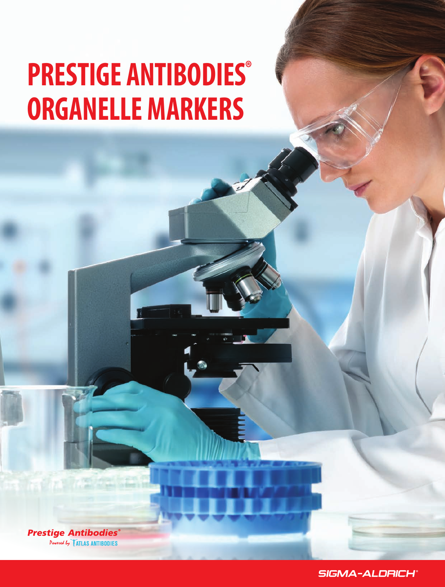# **PRESTIGE ANTIBODIES® ORGANELLE MARKERS**

**Prestige Antibodies®** Powered by TATLAS ANTIBODIES

SIGMA-ALDRICH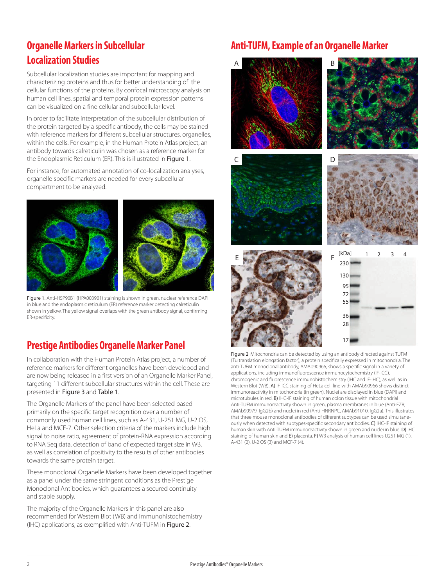# **Organelle Markers in Subcellular Localization Studies**

Subcellular localization studies are important for mapping and characterizing proteins and thus for better understanding of the cellular functions of the proteins. By confocal microscopy analysis on human cell lines, spatial and temporal protein expression patterns can be visualized on a fine cellular and subcellular level.

In order to facilitate interpretation of the subcellular distribution of the protein targeted by a specific antibody, the cells may be stained with reference markers for different subcellular structures, organelles, within the cells. For example, in the Human Protein Atlas project, an antibody towards calreticulin was chosen as a reference marker for the Endoplasmic Reticulum (ER). This is illustrated in Figure 1.

For instance, for automated annotation of co-localization analyses, organelle specific markers are needed for every subcellular compartment to be analyzed.



Figure 1. Anti-HSP90B1 (HPA003901) staining is shown in green, nuclear reference DAPI in blue and the endoplasmic reticulum (ER) reference marker detecting calreticulin shown in yellow. The yellow signal overlaps with the green antibody signal, confirming ER-specificity.

# **Prestige Antibodies Organelle Marker Panel**

In collaboration with the Human Protein Atlas project, a number of reference markers for different organelles have been developed and are now being released in a first version of an Organelle Marker Panel, targeting 11 different subcellular structures within the cell. These are presented in Figure 3 and Table 1.

The Organelle Markers of the panel have been selected based primarily on the specific target recognition over a number of commonly used human cell lines, such as A-431, U-251 MG, U-2 OS, HeLa and MCF-7. Other selection criteria of the markers include high signal to noise ratio, agreement of protein-RNA expression according to RNA Seq data, detection of band of expected target size in WB, as well as correlation of positivity to the results of other antibodies towards the same protein target.

These monoclonal Organelle Markers have been developed together as a panel under the same stringent conditions as the Prestige Monoclonal Antibodies, which guarantees a secured continuity and stable supply.

The majority of the Organelle Markers in this panel are also recommended for Western Blot (WB) and Immunohistochemistry (IHC) applications, as exemplified with Anti-TUFM in Figure 2.

## **Anti-TUFM, Example of an Organelle Marker**



Figure 2. Mitochondria can be detected by using an antibody directed against TUFM (Tu translation elongation factor), a protein specifically expressed in mitochondria. The anti-TUFM monoclonal antibody, AMAb90966, shows a specific signal in a variety of applications, including immunofluorescence immunocytochemistry (IF-ICC), chromogenic and fluorescence immunohistochemistry (IHC and IF-IHC), as well as in Western Blot (WB). A) IF-ICC staining of HeLa cell line with AMAb90966 shows distinct immunoreactivity in mitochondria (in green). Nuclei are displayed in blue (DAPI) and microtubules in red. B) IHC-IF staining of human colon tissue with mitochondrial Anti-TUFM immunoreactivity shown in green, plasma membranes in blue (Anti-EZR, AMAb90979, IgG2b) and nuclei in red (Anti-HNRNPC, AMAb91010, IgG2a). This illustrates that three mouse monoclonal antibodies of different subtypes can be used simultaneously when detected with subtypes-specific secondary antibodies. C) IHC-IF staining of human skin with Anti-TUFM immunoreactivity shown in green and nuclei in blue. D) IHC staining of human skin and E) placenta. F) WB analysis of human cell lines U251 MG (1), A-431 (2), U-2 OS (3) and MCF-7 (4).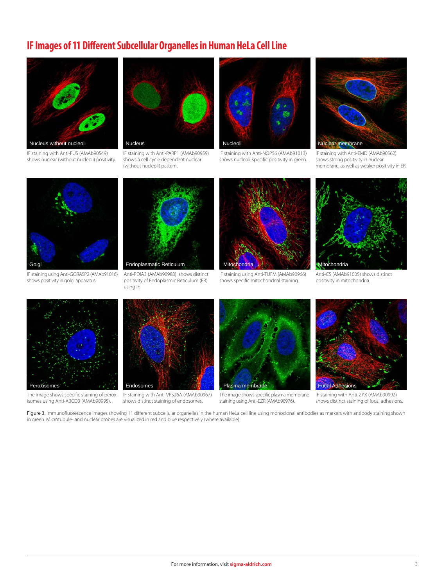# **IF Images of 11 Different Subcellular Organelles in Human HeLa Cell Line**



IF staining with Anti-FUS (AMAb90549) shows nuclear (without nucleoli) positivity.



IF staining with Anti-PARP1 (AMAb90959) shows a cell cycle dependent nuclear (without nucleoli) pattern.



IF staining with Anti-NOP56 (AMAb91013) shows nucleoli-specific positivity in green.



IF staining with Anti-EMD (AMAb90562) shows strong positivity in nuclear membrane, as well as weaker positivity in ER.



IF staining using Anti-GORASP2 (AMAb91016) shows positivity in golgi apparatus.



Anti-PDIA3 (AMAb90988) shows distinct positivity of Endoplasmic Reticulum (ER) using IF.



IF staining using Anti-TUFM (AMAb90966) shows specific mitochondrial staining.



Anti-CS (AMAb91005) shows distinct positivity in mitochondria.



The image shows specific staining of peroxisomes using Anti-ABCD3 (AMAb90995).



IF staining with Anti-VPS26A (AMAb90967) shows distinct staining of endosomes.



The image shows specific plasma membrane staining using Anti-EZR (AMAb90976).



IF staining with Anti-ZYX (AMAb90992) shows distinct staining of focal adhesions.

Figure 3. Immunofluorescence images showing 11 different subcellular organelles in the human HeLa cell line using monoclonal antibodies as markers with antibody staining shown in green. Microtubule- and nuclear probes are visualized in red and blue respectively (where available).